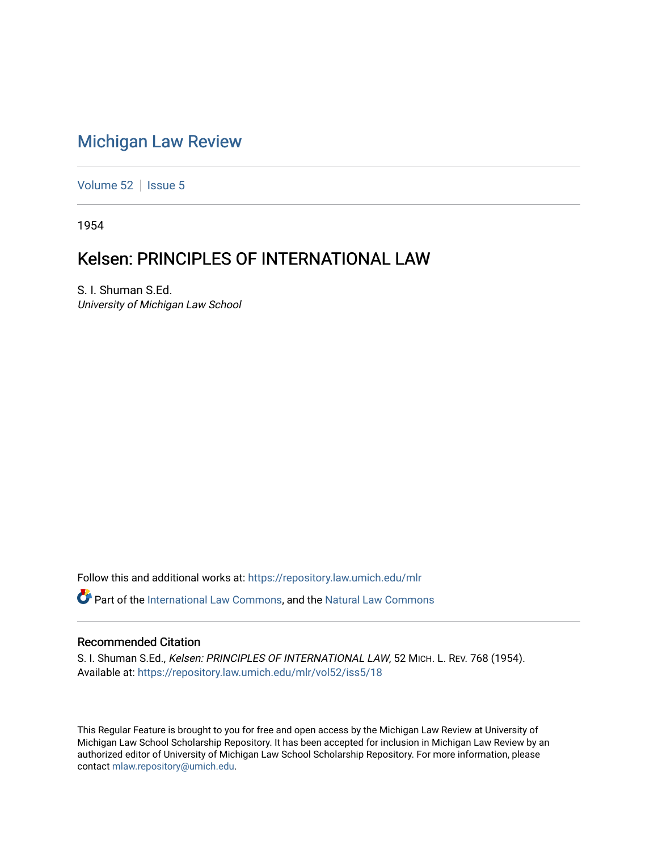## [Michigan Law Review](https://repository.law.umich.edu/mlr)

[Volume 52](https://repository.law.umich.edu/mlr/vol52) | [Issue 5](https://repository.law.umich.edu/mlr/vol52/iss5)

1954

# Kelsen: PRINCIPLES OF INTERNATIONAL LAW

S. I. Shuman S.Ed. University of Michigan Law School

Follow this and additional works at: [https://repository.law.umich.edu/mlr](https://repository.law.umich.edu/mlr?utm_source=repository.law.umich.edu%2Fmlr%2Fvol52%2Fiss5%2F18&utm_medium=PDF&utm_campaign=PDFCoverPages) 

Part of the [International Law Commons,](http://network.bepress.com/hgg/discipline/609?utm_source=repository.law.umich.edu%2Fmlr%2Fvol52%2Fiss5%2F18&utm_medium=PDF&utm_campaign=PDFCoverPages) and the [Natural Law Commons](http://network.bepress.com/hgg/discipline/1263?utm_source=repository.law.umich.edu%2Fmlr%2Fvol52%2Fiss5%2F18&utm_medium=PDF&utm_campaign=PDFCoverPages)

### Recommended Citation

S. I. Shuman S.Ed., Kelsen: PRINCIPLES OF INTERNATIONAL LAW, 52 MICH. L. REV. 768 (1954). Available at: [https://repository.law.umich.edu/mlr/vol52/iss5/18](https://repository.law.umich.edu/mlr/vol52/iss5/18?utm_source=repository.law.umich.edu%2Fmlr%2Fvol52%2Fiss5%2F18&utm_medium=PDF&utm_campaign=PDFCoverPages) 

This Regular Feature is brought to you for free and open access by the Michigan Law Review at University of Michigan Law School Scholarship Repository. It has been accepted for inclusion in Michigan Law Review by an authorized editor of University of Michigan Law School Scholarship Repository. For more information, please contact [mlaw.repository@umich.edu](mailto:mlaw.repository@umich.edu).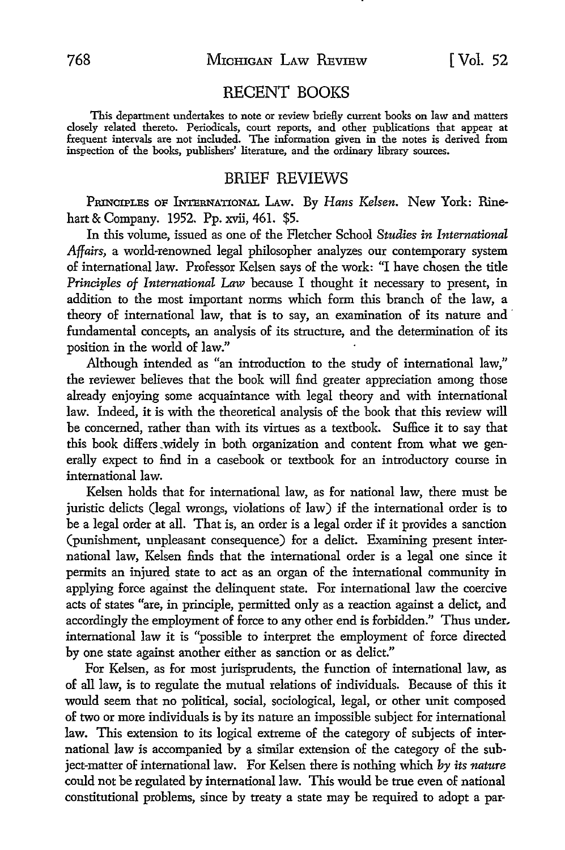#### RECENT BOOKS

This department undertakes to note or review brieHy current books on law and matters closely related thereto. Periodicals, court reports, and other publications that appear at frequent intervals are not included. The information given in the notes is derived from inspection of the books, publishers' literature, and the ordinary library sources.

### BRIEF REVIEWS

PRINCIPLES OF INTERNATIONAL LAW. By *Hans Kelsen*. New York: Rinehart & Company. 1952. Pp. xvii, 461. \$5.

In this volume, issued as one of the Fletcher School *Studies in International Affairs,* a world-renowned legal philosopher analyzes our contemporary system of international law. Professor Kelsen says of the work: "I have chosen the title *Principles of International Law* because I thought it necessary to present, in addition to the most important norms which form this branch of the law, a theory of international law, that is to say, an examination of its nature and· fundamental concepts, an analysis of its structure, and the determination of its position in the world of law."

Although intended as "an introduction to the study of international law," the reviewer believes that the book will find greater appreciation among those already enjoying some acquaintance with legal theory and with international law. Indeed, it is with the theoretical analysis of the book that this review will be concerned, rather than with its virtues as a textbook. Suffice it to say that this book differs widely in both organization and content from what we generally expect to find in a casebook or textbook for an introductory course in international law.

Kelsen holds that for international law, as for national law, there must be juristic delicts (legal wrongs, violations of law) if the international order is to be a legal order at all. That is, an order is a legal order if it provides a sanction (punishment, unpleasant consequence) for a delict. Examining present international law, Kelsen finds that the international order is a legal one since it permits an injured state to act as an organ of the international community in applying force against the delinquent state. For international law the coercive acts of states "are, in principle, permitted only as a reaction against a delict, and accordingly the employment of force to any other end is forbidden." Thus under, international law it is "possible to interpret the employment of force directed by one state against another either as sanction or as delict."

For Kelsen, as for most jurisprudents, the function of international law, as of all law, is to regulate the mutual relations of individuals. Because of this it would seem that no political, social, sociological, legal, or other unit composed of two or more individuals is by its nature an impossible subject for international law. This extension to its logical extreme of the category of subjects of international law is accompanied by a similar extension of the category of the subject-matter of international law. For Kelsen there is nothing which *by its nature*  could not be regulated by international law. This would be true even of national constitutional problems, since by treaty a state may be required to adopt a par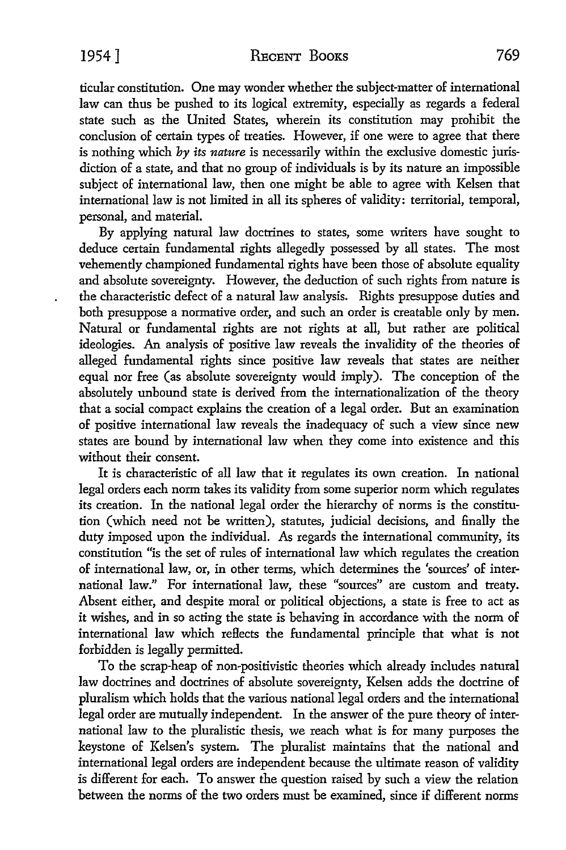ticular constitution. One may wonder whether the subject-matter of international law can thus be pushed to its logical extremity, especially as regards a federal state such as the United States, wherein its constitution may prohibit the conclusion of certain types of treaties. However, if one were to agree that there is nothing which *by its nature* is necessarily within the exclusive domestic jurisdiction of a state, and that no group of individuals is by its nature an impossible subject of international law, then one might be able to agree with Kelsen that international law is not limited in all its spheres of validity: territorial, temporal, personal, and material.

By applying natural law doctrines to states, some writers have sought to deduce certain fundamental rights allegedly possessed by all states. The most vehemently championed fundamental rights have been those of absolute equality and absolute sovereignty. However, the deduction of such rights from nature is the characteristic defect of a natural law analysis. Rights presuppose duties and both presuppose a normative order, and such an order is creatable only by men. Natural or fundamental rights are not rights at all, but rather are political ideologies. An analysis of positive law reveals the invalidity of the theories of alleged fundamental rights since positive law reveals that states are neither equal nor free (as absolute sovereignty would imply). The conception of the absolutely unbound state is derived from the internationalization of the theory that a social compact explains the creation of a legal order. But an examination of positive international law reveals the inadequacy of such a view since new states are bound by international law when they come into existence and this without their consent.

It is characteristic of all law that it regulates its own creation. In national legal orders each norm takes its validity from some superior norm which regulates its creation. In the national legal order the hierarchy of norms is the constitution ( which need not be written), statutes, judicial decisions, and finally the duty imposed upon the individual. As regards the international community, its constitution "is the set of rules of international law which regulates the creation of international law, or, in other terms, which determines the 'sources' of international law." For international law, these "sources" are custom and treaty. Absent either, and despite moral or political objections, a state is free to act as it wishes, and in so acting the state is behaving in accordance with the norm of international law which reflects the fundamental principle that what is not forbidden is legally permitted.

To the scrap-heap of non-positivistic theories which already includes natural law doctrines and doctrines of absolute sovereignty, Kelsen adds the doctrine of pluralism which holds that the various national legal orders and the international legal order are mutually independent. In the answer of the pure theory of international law to the pluralistic thesis, we reach what is for many purposes the keystone of Kelsen's system. The pluralist maintains that the national and international legal orders are independent because the ultimate reason of validity is different for each. To answer the question raised by such a view the relation between the norms of the two orders must be examined, since if different norms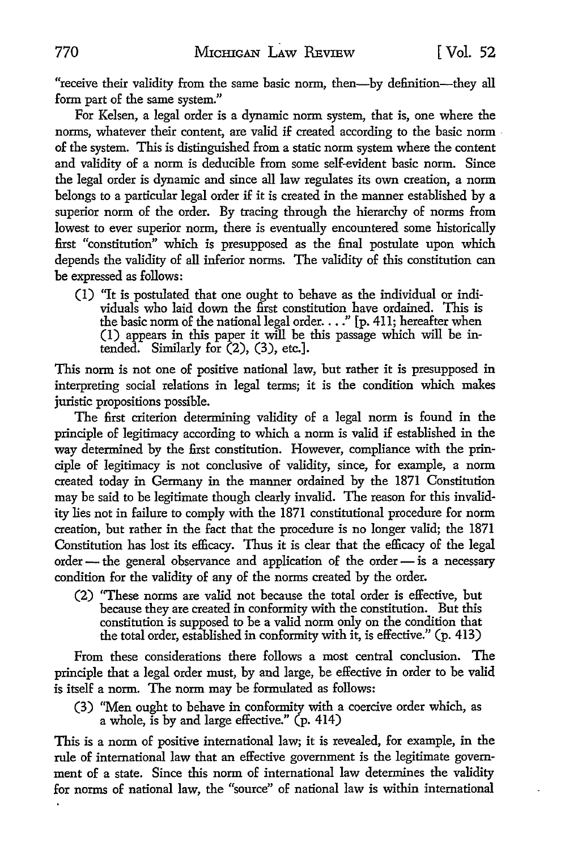"receive their validity from the same basic norm, then-by definition-they all form part of the same system."

For Kelsen, a legal order is a dynamic norm system, that is, one where the norms, whatever their content, are valid if created according to the basic norm . of the system. This is distinguished from a static norm system where the content and validity of a norm is deducible from some self-evident basic norm. Since the legal order is dynamic and since all law regulates its own creation, a norm belongs to a particular legal order if it is created in the manner established by a superior norm of the order. By tracing through the hierarchy of norms from lowest to ever superior norm, there is eventually encountered some historically first "constitution" which is presupposed as the final postulate upon which depends the validity of all inferior norms. The validity of this constitution can be expressed as follows:

(I) ''It is postulated that one ought to behave as the individual or individuals who laid down the first constitution have ordained. This is the basic norm of the national legal order.  $\ldots$ " [p. 411; hereafter when (I) appears in this paper it will be this passage which will be intended. Similarly for  $(2)$ ,  $(3)$ , etc.].

This norm is not one of positive national law, but rather it is presupposed in interpreting social relations in legal terms; it is the condition which makes juristic propositions possible.

The first criterion determining validity of a legal norm is found in the principle of legitimacy according *to* which a norm is valid if established in the way determined by the first constitution. However, compliance with the principle of legitimacy is not conclusive of validity, since, for example, a norm created today in Germany in the manner ordained by the 1871 Constitution may be said to be legitimate though clearly invalid. The reason for this invalidity lies not in failure to comply with the 1871 constitutional procedure for norm creation, but rather in the fact that the procedure is no longer valid; the 1871 Constitution has lost its efficacy. Thus it is clear that the efficacy of the legal order - the general observance and application of the order - is a necessary condition for the validity of any of the norms created by the order.

(2) ''These norms are valid not because the total order is effective, but because they are created in conformity with the constitution. But this constitution is supposed to be a valid norm only on the condition that the total order, established in conformity with it, is effective." (p. 413)

From these considerations there follows a most central conclusion. The principle that a legal order must, by and large, be effective in order to be valid is itself a norm. The norm may be formulated as follows:

(3) "Men ought to behave in conformity with a coercive order which, as a whole, is by and large effective." (p. 414)

This is a norm of positive international law; it is revealed, for example, in the rule of international law that an effective government is the legitimate government of a state. Since this norm of international law determines the validity for norms of national law, the "source" of national law is within international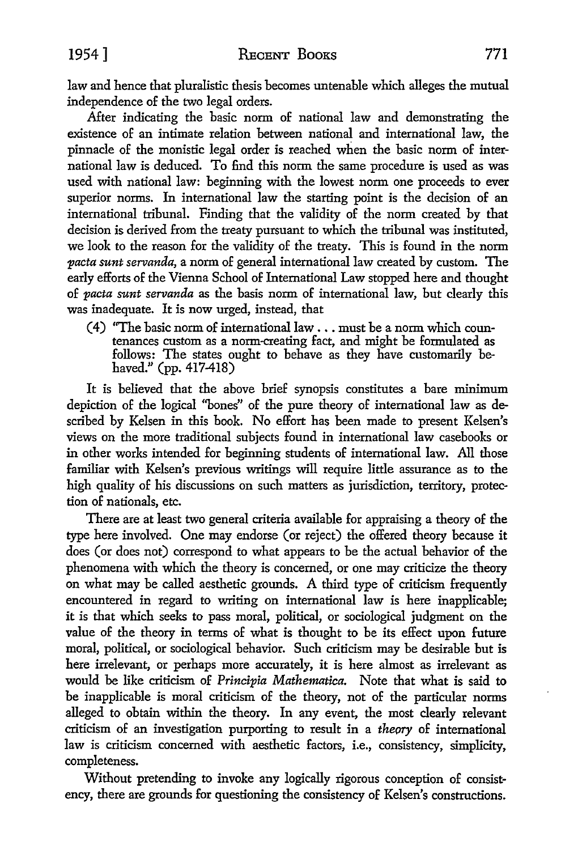law and hence that pluralistic thesis becomes untenable which alleges the mutual independence of the two legal orders.

After indicating the basic norm of national law and demonstrating the existence of an intimate relation between national and international law, the pinnacle of the monistic legal order is reached when the basic norm of international law is deduced. To find this norm the same procedure is used as was used with national law: beginning with the lowest norm one proceeds to ever superior norms. In international law the starting point is the decision of an international tribunal. Finding that the validity of the norm created by that decision is derived from the treaty pursuant to which the tribunal was instituted, we look to the reason for the validity of the treaty. This is found in the norm *pacta sunt servanda,* a norm of general international law created by custom. The early efforts of the Vienna School of International Law stopped here and thought of *pacta sunt servanda* as the basis norm of international law, but clearly this was inadequate. It is now urged, instead, that

( 4) "The basic norm of international law .•. must be a norm which countenances custom as a norm-creating fact, and might be formulated as follows: The states ought to behave as they have customarily behaved." (pp. 417-418)

It is believed that the above brief synopsis constitutes a bare minimum depiction of the logical ''bones" of the pure theory of international law as described by Kelsen in this book. No effort has been made to present Kelsen's views on the more traditional subjects found in international law casebooks or in other works intended for beginning students of international law. All those familiar with Kelsen's previous writings will require little assurance as to the high quality of his discussions on such matters as jurisdiction, territory, protection of nationals, etc.

There are at least two general criteria available for appraising a theory of the type here involved. One may endorse (or reject) the offered theory because it does (or does not) correspond to what appears to be the actual behavior of the phenomena with which the theory is concerned, or one may criticize the theory on what may be called aesthetic grounds. A third type of criticism frequently encountered in regard to writing on international law is here inapplicable; it is that which seeks to pass moral, political, or sociological judgment on the value of the theory in terms of what is thought to be its effect upon future moral, political, or sociological behavior. Such criticism may be desirable but is here irrelevant, or perhaps more accurately, it is here almost as irrelevant as would be like criticism of *Principia Mathematica.* Note that what is said to be inapplicable is moral criticism of the theory, not of the particular norms alleged to obtain within the theory. In any event, the most clearly relevant criticism of an investigation purporting to result in a *theory* of international law is criticism concerned with aesthetic factors, i.e., consistency, simplicity, completeness.

Without pretending to invoke any logically rigorous conception of consistency, there are grounds for questioning the consistency of Kelsen's constructions.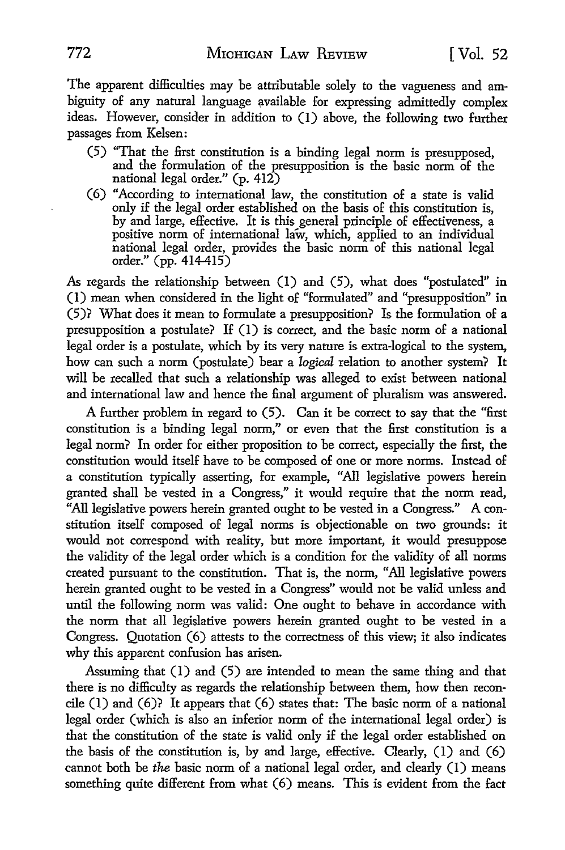The apparent difficulties may be attributable solely to the vagueness and ambiguity of any natural language available for expressing admittedly complex ideas. However, consider in addition to (I) above, the following two further passages from Kelsen:

- (5) "That the first constitution is a binding legal norm is presupposed, and the formulation of the presupposition is the basic norm of the national legal order." (p. 412)
- (6) "According to international law, the constitution of a state is valid only if the legal order established on the basis of this constitution is, by and large, effective. It is this general principle of effectiveness, a positive norm of international law, which, applied to an individual national legal order, provides the basic norm of this national legal order." (pp. 414-415)

As regards the relationship between (I) and (5), what does "postulated" in (I) mean when considered in the light of "formulated" and "presupposition" in (5)? What does it mean to formulate a presupposition? Is the formulation of a presupposition a postulate? If (I) is correct, and the basic norm of a national legal order is a postulate, which by its very nature is extra-logical to the system, how can such a norm (postulate) bear a *logical* relation to another system? It will be recalled that such a relationship was alleged to exist between national and international law and hence the final argument of pluralism was answered.

A further problem in regard to (5). Can it be correct to say that the "first constitution is a binding legal norm," or even that the first constitution is a legal norm? In order for either proposition to be correct, especially the first, the constitution would itself have to be composed of one or more norms. Instead of a constitution typically asserting, for example, "All legislative powers herein granted shall be vested in a Congress," it would require that the norm read, "All legislative powers herein granted ought to be vested in a Congress." A constitution itself composed of legal norms is objectionable on two grounds: it would not correspond with reality, but more important, it would presuppose the validity of the legal order which is a condition for the validity of all norms created pursuant to the constitution. That is, the norm, "All legislative powers herein granted ought to be vested in a Congress" would not be valid unless and until the following norm was valid: One ought to behave in accordance with the norm that all legislative powers herein granted ought to be vested in a Congress. Quotation ( 6) attests to the correctness of this view; it also indicates why this apparent confusion has arisen.

Assuming that (I) and (5) are intended to mean the same thing and that there is no difficulty as regards the relationship between them, how then reconcile (I) and (6)? It appears that (6) states that: The basic norm of a national legal order ( which is also an inferior norm of the international legal order) is that the constitution of the state is valid only if the legal order established on the basis of the constitution is, by and large, effective. Clearly, (I) and (6) cannot both be *the* basic norm of a national legal order, and clearly (I) means something quite different from what (6) means. This is evident from the fact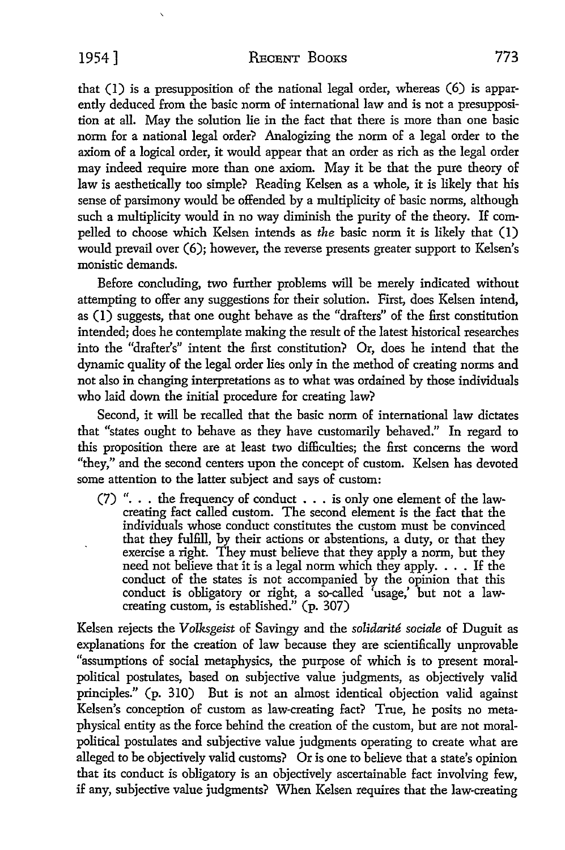that (I) is a presupposition of the national legal order, whereas (6) is apparently deduced from the basic norm of international law and is not a presupposition at all. May the solution lie in the fact that there is more than one basic norm for a national legal order? Analogizing the norm of a legal order to the axiom of a logical order, it would appear that an order as rich as the legal order may indeed require more than one axiom. May it be that the pure theory of law is aesthetically too simple? Reading Kelsen as a whole, it is likely that his sense of parsimony would be offended by a multiplicity of basic norms, although such a multiplicity would in no way diminish the purity of the theory. If compelled to choose which Kelsen intends as *the* basic norm it is likely that (1) would prevail over (6); however, the reverse presents greater support to Kelsen's

Before concluding, two further problems will be merely indicated without attempting to offer any suggestions for their solution. First, does Kelsen intend, as (I) suggests, that one ought behave as the "drafters" of the first constitution intended; does he contemplate making the result of the latest historical researches into the "drafter's" intent the first constitution? Or, does he intend that the dynamic quality of the legal order lies only in the method of creating norms and not also in changing interpretations as to what was ordained by those individuals who laid down the initial procedure for creating law?

Second, it will be recalled that the basic norm of international law dictates that "states ought to behave as they have customarily behaved." In regard to this proposition there are at least two difficulties; the first concerns the word "they," and the second centers upon the concept of custom. Kelsen has devoted some attention to the latter subject and says of custom:

(7) "... the frequency of conduct  $\dots$  is only one element of the lawcreating fact called custom. The second element is the fact that the individuals whose conduct constitutes the custom must be convinced that they fulfill, by their actions or abstentions, a duty, or that they exercise a right. They must believe that they apply a norm, but they need not believe that it is a legal norm which they apply. . . . If the conduct of the states is not accompanied by the opinion that this conduct is obligatory or right, a so-called 'usage,' but not a lawcreating custom, is established." (p. 307)

Kelsen rejects the *Volksgeist* of Savingy and the *solidarite sociale* of Duguit as explanations for the creation of law because they are scientifically unprovable "assumptions of social metaphysics, the purpose of which is to present moralpolitical postulates, based on subjective value judgments, as objectively valid principles." (p. 310) But is not an almost identical objection valid against Kelsen's conception of custom as law-creating fact? True, he posits no metaphysical entity as the force behind the creation of the custom, but are not moralpolitical postulates and subjective value judgments operating to create what are alleged to be objectively valid customs? Or is one to believe that a state's opinion that its conduct is obligatory is an objectively ascertainable fact involving few, if any, subjective value judgments? When Kelsen requires that the law-creating

monistic demands.